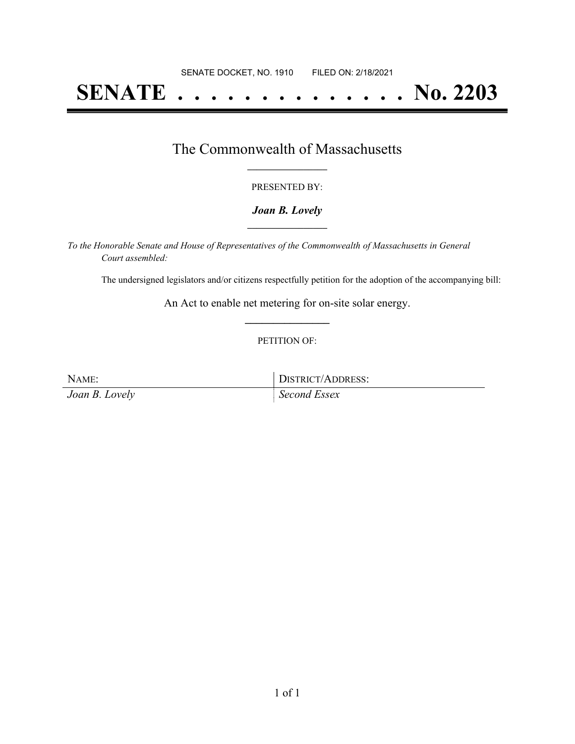# **SENATE . . . . . . . . . . . . . . No. 2203**

### The Commonwealth of Massachusetts **\_\_\_\_\_\_\_\_\_\_\_\_\_\_\_\_\_**

#### PRESENTED BY:

#### *Joan B. Lovely* **\_\_\_\_\_\_\_\_\_\_\_\_\_\_\_\_\_**

*To the Honorable Senate and House of Representatives of the Commonwealth of Massachusetts in General Court assembled:*

The undersigned legislators and/or citizens respectfully petition for the adoption of the accompanying bill:

An Act to enable net metering for on-site solar energy. **\_\_\_\_\_\_\_\_\_\_\_\_\_\_\_**

#### PETITION OF:

*Joan B. Lovely Second Essex*

NAME: DISTRICT/ADDRESS: